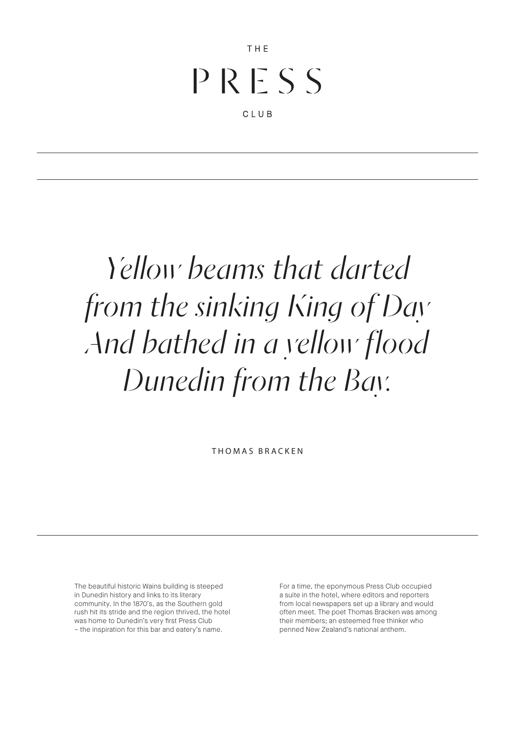# $P R F S S$

THE

CLUB

## *Yellow beams that darted from the sinking King of Day And bathed in a yellow flood Dunedin from the Bay.*

THOMAS BRACKEN

The beautiful historic Wains building is steeped in Dunedin history and links to its literary community. In the 1870's, as the Southern gold rush hit its stride and the region thrived, the hotel was home to Dunedin's very first Press Club – the inspiration for this bar and eatery's name.

For a time, the eponymous Press Club occupied a suite in the hotel, where editors and reporters from local newspapers set up a library and would often meet. The poet Thomas Bracken was among their members; an esteemed free thinker who penned New Zealand's national anthem.